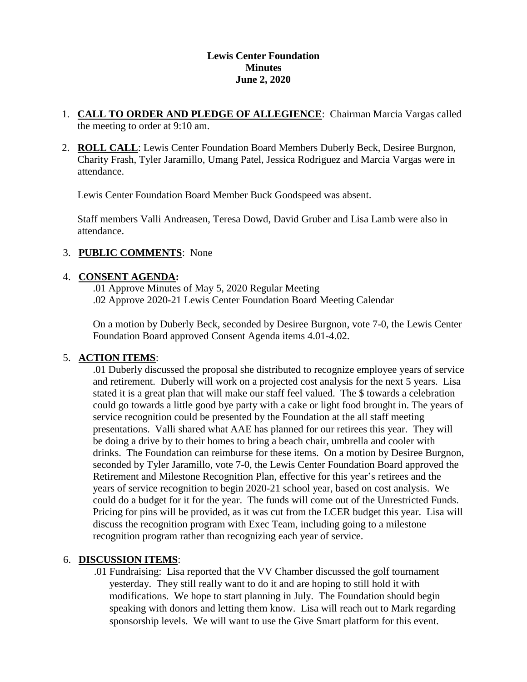## **Lewis Center Foundation Minutes June 2, 2020**

- 1. **CALL TO ORDER AND PLEDGE OF ALLEGIENCE**: Chairman Marcia Vargas called the meeting to order at 9:10 am.
- 2. **ROLL CALL**: Lewis Center Foundation Board Members Duberly Beck, Desiree Burgnon, Charity Frash, Tyler Jaramillo, Umang Patel, Jessica Rodriguez and Marcia Vargas were in attendance.

Lewis Center Foundation Board Member Buck Goodspeed was absent.

Staff members Valli Andreasen, Teresa Dowd, David Gruber and Lisa Lamb were also in attendance.

## 3. **PUBLIC COMMENTS**: None

## 4. **CONSENT AGENDA:**

.01 Approve Minutes of May 5, 2020 Regular Meeting .02 Approve 2020-21 Lewis Center Foundation Board Meeting Calendar

On a motion by Duberly Beck, seconded by Desiree Burgnon, vote 7-0, the Lewis Center Foundation Board approved Consent Agenda items 4.01-4.02.

## 5. **ACTION ITEMS**:

.01 Duberly discussed the proposal she distributed to recognize employee years of service and retirement. Duberly will work on a projected cost analysis for the next 5 years. Lisa stated it is a great plan that will make our staff feel valued. The \$ towards a celebration could go towards a little good bye party with a cake or light food brought in. The years of service recognition could be presented by the Foundation at the all staff meeting presentations. Valli shared what AAE has planned for our retirees this year. They will be doing a drive by to their homes to bring a beach chair, umbrella and cooler with drinks. The Foundation can reimburse for these items. On a motion by Desiree Burgnon, seconded by Tyler Jaramillo, vote 7-0, the Lewis Center Foundation Board approved the Retirement and Milestone Recognition Plan, effective for this year's retirees and the years of service recognition to begin 2020-21 school year, based on cost analysis. We could do a budget for it for the year. The funds will come out of the Unrestricted Funds. Pricing for pins will be provided, as it was cut from the LCER budget this year. Lisa will discuss the recognition program with Exec Team, including going to a milestone recognition program rather than recognizing each year of service.

## 6. **DISCUSSION ITEMS**:

.01 Fundraising: Lisa reported that the VV Chamber discussed the golf tournament yesterday. They still really want to do it and are hoping to still hold it with modifications. We hope to start planning in July. The Foundation should begin speaking with donors and letting them know. Lisa will reach out to Mark regarding sponsorship levels. We will want to use the Give Smart platform for this event.